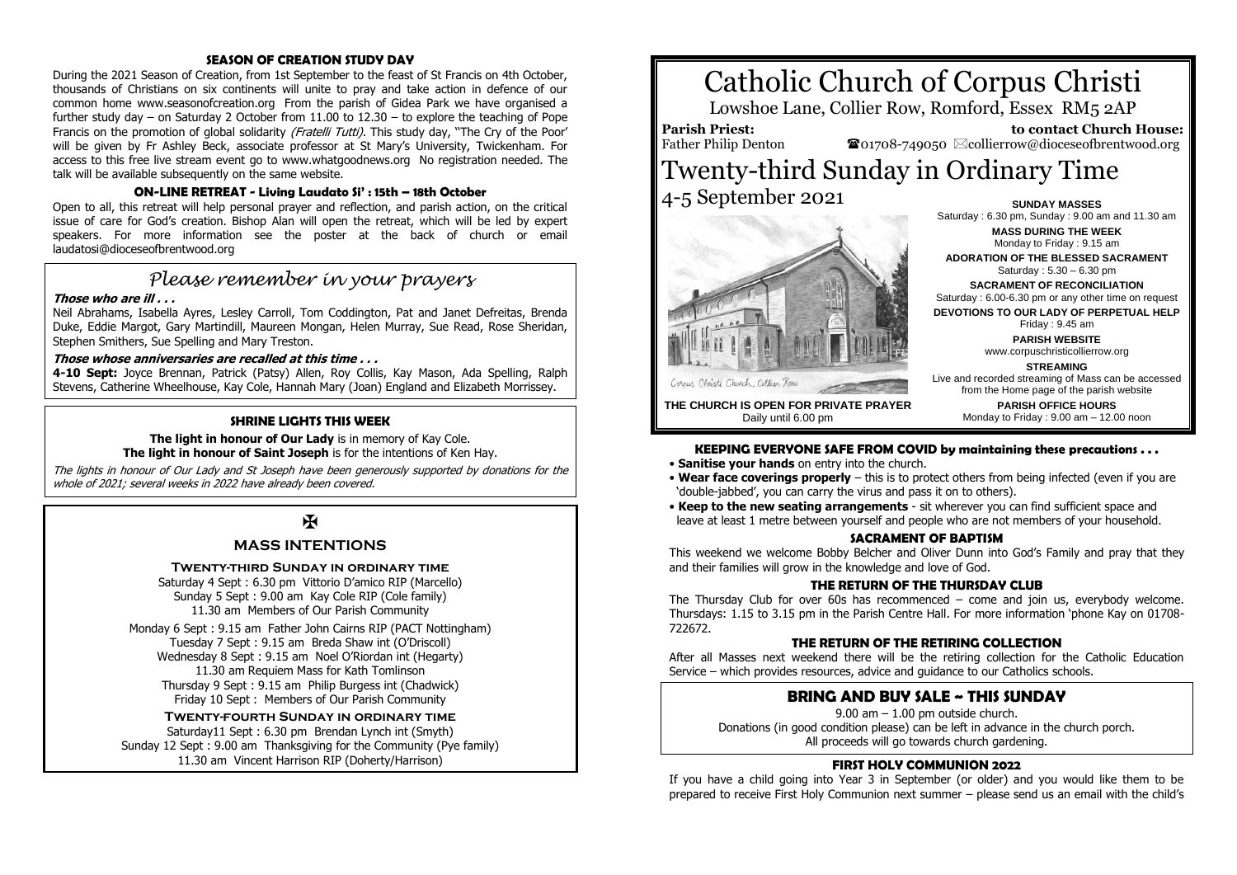#### **SEASON OF CREATION STUDY DAY**

During the 2021 Season of Creation, from 1st September to the feast of St Francis on 4th October, thousands of Christians on six continents will unite to pray and take action in defence of our common home www.seasonofcreation.org From the parish of Gidea Park we have organised a further study day – on Saturday 2 October from 11.00 to 12.30 – to explore the teaching of Pope Francis on the promotion of global solidarity (Fratelli Tutti). This study day, "The Cry of the Poor' will be given by Fr Ashley Beck, associate professor at St Mary's University, Twickenham. For access to this free live stream event go to www.whatgoodnews.org No registration needed. The talk will be available subsequently on the same website.

#### **ON-LINE RETREAT - Living Laudato Si' : 15th – 18th October**

Open to all, this retreat will help personal prayer and reflection, and parish action, on the critical issue of care for God's creation. Bishop Alan will open the retreat, which will be led by expert speakers. For more information see the poster at the back of church or email laudatosi@dioceseofbrentwood.org

# *Please remember in your prayers*

#### **Those who are ill . . .**

Neil Abrahams, Isabella Ayres, Lesley Carroll, Tom Coddington, Pat and Janet Defreitas, Brenda Duke, Eddie Margot, Gary Martindill, Maureen Mongan, Helen Murray, Sue Read, Rose Sheridan, Stephen Smithers, Sue Spelling and Mary Treston.

#### **Those whose anniversaries are recalled at this time . . .**

**4-10 Sept:** Joyce Brennan, Patrick (Patsy) Allen, Roy Collis, Kay Mason, Ada Spelling, Ralph Stevens, Catherine Wheelhouse, Kay Cole, Hannah Mary (Joan) England and Elizabeth Morrissey.

#### **SHRINE LIGHTS THIS WEEK**

**The light in honour of Our Lady** is in memory of Kay Cole. **The light in honour of Saint Joseph** is for the intentions of Ken Hay.

The lights in honour of Our Lady and St Joseph have been generously supported by donations for the whole of 2021; several weeks in 2022 have already been covered.

# $\overline{M}$

### **MASS INTENTIONS**

#### **Twenty-third Sunday in ordinary time**

Saturday 4 Sept : 6.30 pm Vittorio D'amico RIP (Marcello) Sunday 5 Sept : 9.00 am Kay Cole RIP (Cole family) 11.30 am Members of Our Parish Community

Monday 6 Sept : 9.15 am Father John Cairns RIP (PACT Nottingham) Tuesday 7 Sept : 9.15 am Breda Shaw int (O'Driscoll) Wednesday 8 Sept : 9.15 am Noel O'Riordan int (Hegarty) 11.30 am Requiem Mass for Kath Tomlinson Thursday 9 Sept : 9.15 am Philip Burgess int (Chadwick) Friday 10 Sept : Members of Our Parish Community

#### **Twenty-fourth Sunday in ordinary time**

Saturday11 Sept : 6.30 pm Brendan Lynch int (Smyth) Sunday 12 Sept : 9.00 am Thanksgiving for the Community (Pye family) 11.30 am Vincent Harrison RIP (Doherty/Harrison)

# Catholic Church of Corpus Christi

Lowshoe Lane, Collier Row, Romford, Essex RM5 2AP

**Parish Priest:** Father Philip Denton

 **to contact Church House:**  $\bullet$ 01708-749050  $\&$ collierrow@dioceseofbrentwood.org

# Twenty-third Sunday in Ordinary Time 4-5 September 2021 **SUNDAY MASSES**



**MASS DURING THE WEEK** Monday to Friday : 9.15 am **ADORATION OF THE BLESSED SACRAMENT** Saturday : 5.30 – 6.30 pm **SACRAMENT OF RECONCILIATION** Saturday : 6.00-6.30 pm or any other time on request **DEVOTIONS TO OUR LADY OF PERPETUAL HELP** Friday : 9.45 am **PARISH WEBSITE** www.corpuschristicollierrow.org **STREAMING** Live and recorded streaming of Mass can be accessed from the Home page of the parish website **PARISH OFFICE HOURS**

Monday to Friday : 9.00 am – 12.00 noon

Saturday : 6.30 pm, Sunday : 9.00 am and 11.30 am

**THE CHURCH IS OPEN FOR PRIVATE PRAYER** Daily until 6.00 pm

#### **KEEPING EVERYONE SAFE FROM COVID by maintaining these precautions . . .**

- **Sanitise your hands** on entry into the church.
- **Wear face coverings properly** this is to protect others from being infected (even if you are 'double-jabbed', you can carry the virus and pass it on to others).
- **Keep to the new seating arrangements** sit wherever you can find sufficient space and leave at least 1 metre between yourself and people who are not members of your household.

#### **SACRAMENT OF BAPTISM**

This weekend we welcome Bobby Belcher and Oliver Dunn into God's Family and pray that they and their families will grow in the knowledge and love of God.

#### **THE RETURN OF THE THURSDAY CLUB**

The Thursday Club for over 60s has recommenced – come and join us, everybody welcome. Thursdays: 1.15 to 3.15 pm in the Parish Centre Hall. For more information 'phone Kay on 01708- 722672.

#### **THE RETURN OF THE RETIRING COLLECTION**

After all Masses next weekend there will be the retiring collection for the Catholic Education Service – which provides resources, advice and guidance to our Catholics schools.

## **BRING AND BUY SALE ~ THIS SUNDAY**

9.00 am – 1.00 pm outside church. Donations (in good condition please) can be left in advance in the church porch. All proceeds will go towards church gardening.

#### **FIRST HOLY COMMUNION 2022**

If you have a child going into Year 3 in September (or older) and you would like them to be prepared to receive First Holy Communion next summer – please send us an email with the child's